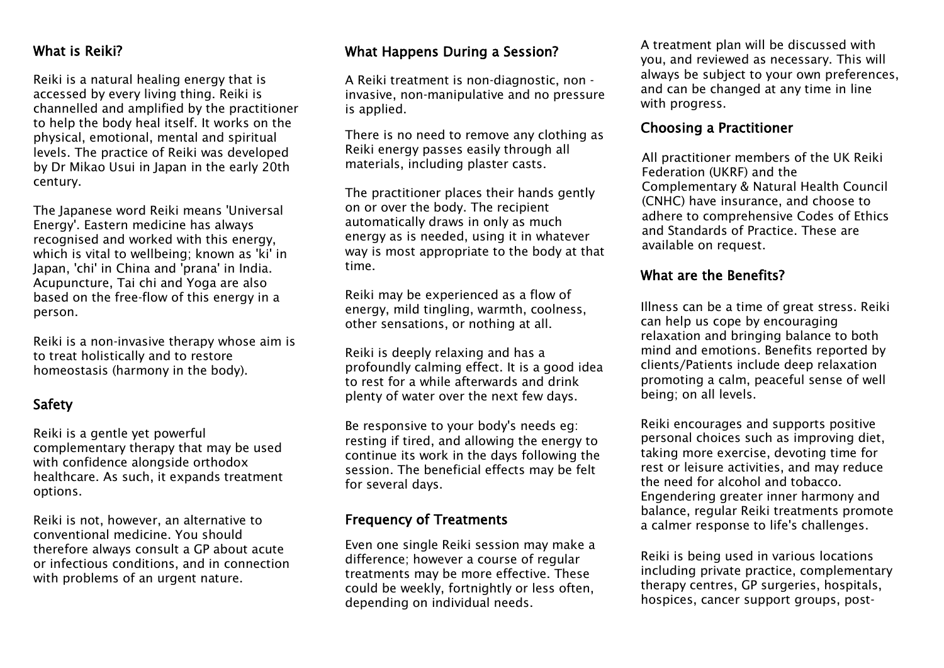#### What is Reiki?

Reiki is a natural healing energy that is accessed by every living thing. Reiki is channelled and amplified by the practitioner to help the body heal itself. It works on the physical, emotional, mental and spiritual levels. The practice of Reiki was developed by Dr Mikao Usui in Japan in the early 20th century.

The Japanese word Reiki means 'Universal Energy'. Eastern medicine has always recognised and worked with this energy, which is vital to wellbeing; known as 'ki' in Japan, 'chi' in China and 'prana' in India. Acupuncture, Tai chi and Yoga are also based on the free-flow of this energy in a person.

Reiki is a non-invasive therapy whose aim is to treat holistically and to restore homeostasis (harmony in the body).

#### Safety

Reiki is a gentle yet powerful complementary therapy that may be used with confidence alongside orthodox healthcare. As such, it expands treatment options.

Reiki is not, however, an alternative to conventional medicine. You should therefore always consult a GP about acute or infectious conditions, and in connection with problems of an urgent nature.

#### What Happens During a Session?

A Reiki treatment is non-diagnostic, non invasive, non-manipulative and no pressure is applied.

There is no need to remove any clothing as Reiki energy passes easily through all materials, including plaster casts.

The practitioner places their hands gently on or over the body. The recipient automatically draws in only as much energy as is needed, using it in whatever way is most appropriate to the body at that time.

Reiki may be experienced as a flow of energy, mild tingling, warmth, coolness, other sensations, or nothing at all.

Reiki is deeply relaxing and has a profoundly calming effect. It is a good idea to rest for a while afterwards and drink plenty of water over the next few days.

Be responsive to your body's needs eg: resting if tired, and allowing the energy to continue its work in the days following the session. The beneficial effects may be felt for several days.

#### Frequency of Treatments

Even one single Reiki session may make a difference; however a course of regular treatments may be more effective. These could be weekly, fortnightly or less often, depending on individual needs.

A treatment plan will be discussed with you, and reviewed as necessary. This will always be subject to your own preferences, and can be changed at any time in line with progress.

#### Choosing a Practitioner

All practitioner members of the UK Reiki Federation (UKRF) and the Complementary & Natural Health Council (CNHC) have insurance, and choose to adhere to comprehensive Codes of Ethics and Standards of Practice. These are available on request.

#### What are the Benefits?

Illness can be a time of great stress. Reiki can help us cope by encouraging relaxation and bringing balance to both mind and emotions. Benefits reported by clients/Patients include deep relaxation promoting a calm, peaceful sense of well being; on all levels.

Reiki encourages and supports positive personal choices such as improving diet, taking more exercise, devoting time for rest or leisure activities, and may reduce the need for alcohol and tobacco. Engendering greater inner harmony and balance, regular Reiki treatments promote a calmer response to life's challenges.

Reiki is being used in various locations including private practice, complementary therapy centres, GP surgeries, hospitals, hospices, cancer support groups, post-